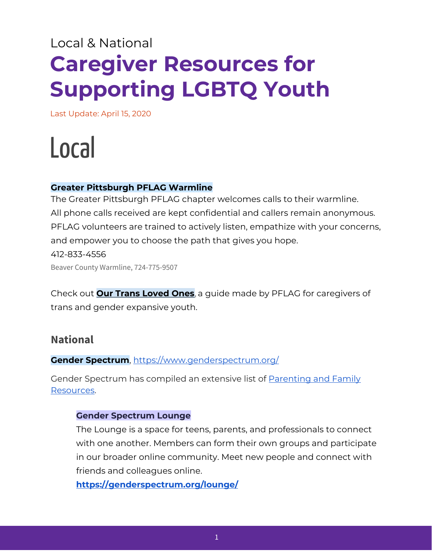## Local & National **Caregiver Resources for Supporting LGBTQ Youth**

Last Update: April 15, 2020

# Local

#### **Greater Pittsburgh PFLAG Warmline**

The Greater Pittsburgh PFLAG chapter welcomes calls to their warmline. All phone calls received are kept confidential and callers remain anonymous. PFLAG volunteers are trained to actively listen, empathize with your concerns, and empower you to choose the path that gives you hope. 412-833-4556 Beaver County Warmline, 724-775-9507

Check out **Our Trans [Loved](https://pflag.org/sites/default/files/Our%20Trans%20Loved%20Ones.pdf) Ones**, a guide made by PFLAG for caregivers of trans and gender expansive youth.

### **National**

#### **Gender Spectrum**, <https://www.genderspectrum.org/>

Gender Spectrum has compiled an extensive list of [Parenting](https://www.genderspectrum.org/resources/parenting-and-family-2/#more-432) and Family [Resources](https://www.genderspectrum.org/resources/parenting-and-family-2/#more-432).

#### **Gender Spectrum Lounge**

The Lounge is a space for teens, parents, and professionals to connect with one another. Members can form their own groups and participate in our broader online community. Meet new people and connect with friends and colleagues online.

**<https://genderspectrum.org/lounge/>**